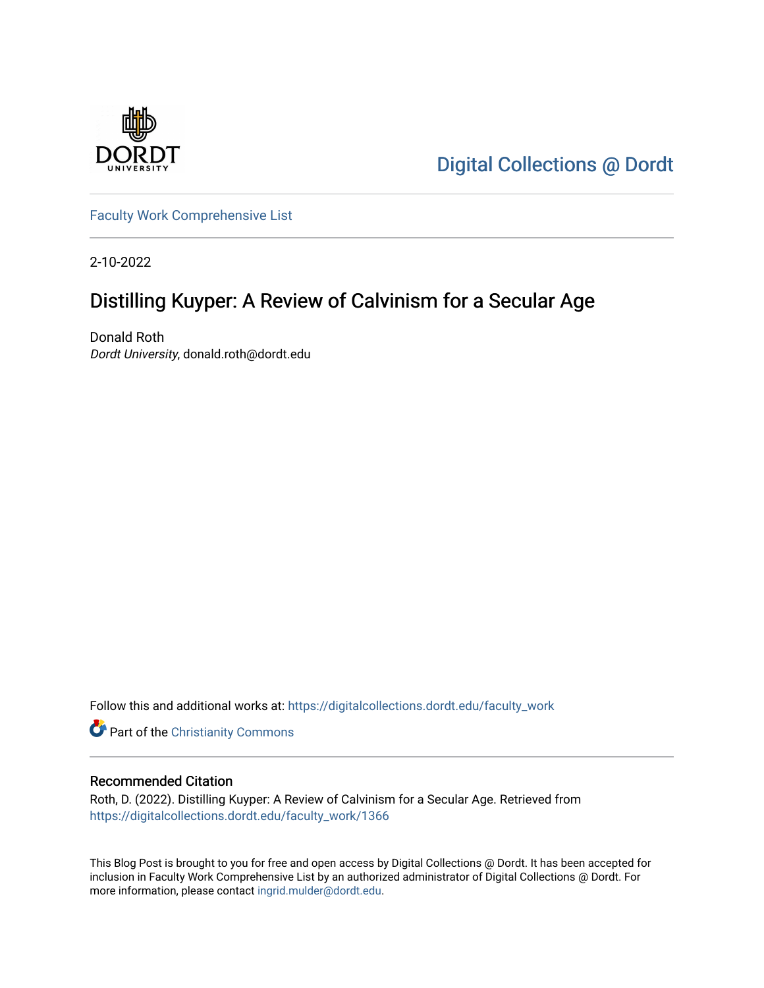

[Digital Collections @ Dordt](https://digitalcollections.dordt.edu/) 

[Faculty Work Comprehensive List](https://digitalcollections.dordt.edu/faculty_work)

2-10-2022

# Distilling Kuyper: A Review of Calvinism for a Secular Age

Donald Roth Dordt University, donald.roth@dordt.edu

Follow this and additional works at: [https://digitalcollections.dordt.edu/faculty\\_work](https://digitalcollections.dordt.edu/faculty_work?utm_source=digitalcollections.dordt.edu%2Ffaculty_work%2F1366&utm_medium=PDF&utm_campaign=PDFCoverPages) 

Part of the [Christianity Commons](http://network.bepress.com/hgg/discipline/1181?utm_source=digitalcollections.dordt.edu%2Ffaculty_work%2F1366&utm_medium=PDF&utm_campaign=PDFCoverPages) 

### Recommended Citation

Roth, D. (2022). Distilling Kuyper: A Review of Calvinism for a Secular Age. Retrieved from [https://digitalcollections.dordt.edu/faculty\\_work/1366](https://digitalcollections.dordt.edu/faculty_work/1366?utm_source=digitalcollections.dordt.edu%2Ffaculty_work%2F1366&utm_medium=PDF&utm_campaign=PDFCoverPages)

This Blog Post is brought to you for free and open access by Digital Collections @ Dordt. It has been accepted for inclusion in Faculty Work Comprehensive List by an authorized administrator of Digital Collections @ Dordt. For more information, please contact [ingrid.mulder@dordt.edu.](mailto:ingrid.mulder@dordt.edu)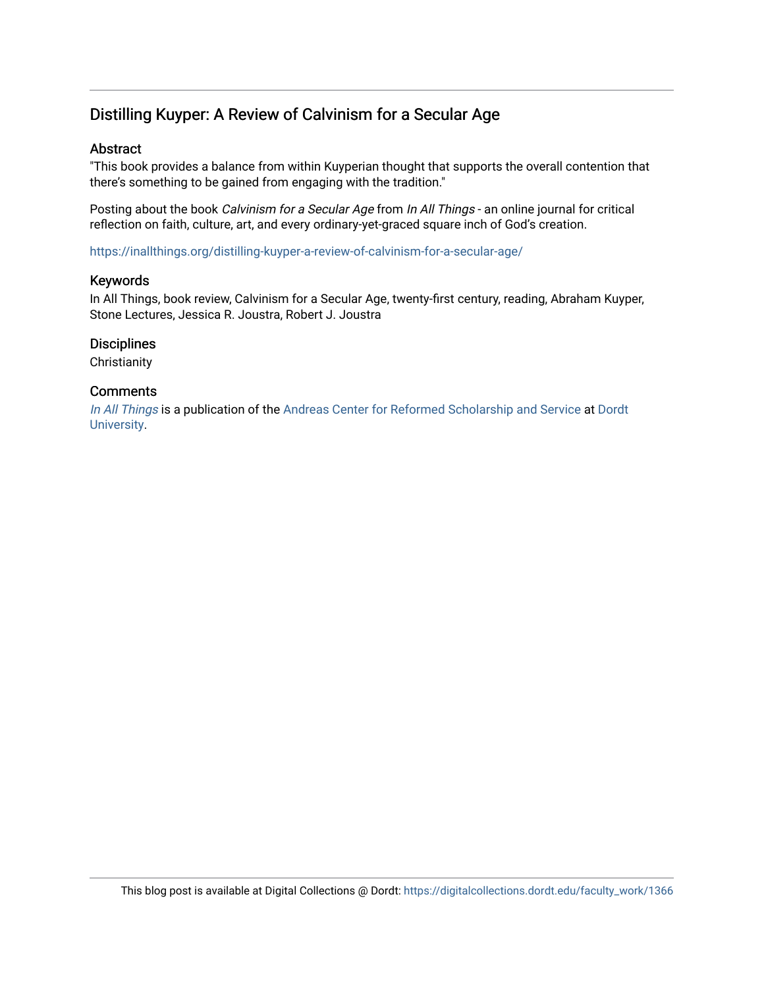## Distilling Kuyper: A Review of Calvinism for a Secular Age

### Abstract

"This book provides a balance from within Kuyperian thought that supports the overall contention that there's something to be gained from engaging with the tradition."

Posting about the book Calvinism for a Secular Age from In All Things - an online journal for critical reflection on faith, culture, art, and every ordinary-yet-graced square inch of God's creation.

<https://inallthings.org/distilling-kuyper-a-review-of-calvinism-for-a-secular-age/>

#### Keywords

In All Things, book review, Calvinism for a Secular Age, twenty-first century, reading, Abraham Kuyper, Stone Lectures, Jessica R. Joustra, Robert J. Joustra

### **Disciplines**

**Christianity** 

#### **Comments**

[In All Things](http://inallthings.org/) is a publication of the [Andreas Center for Reformed Scholarship and Service](http://www.dordt.edu/services_support/andreas_center/) at Dordt [University](http://www.dordt.edu/).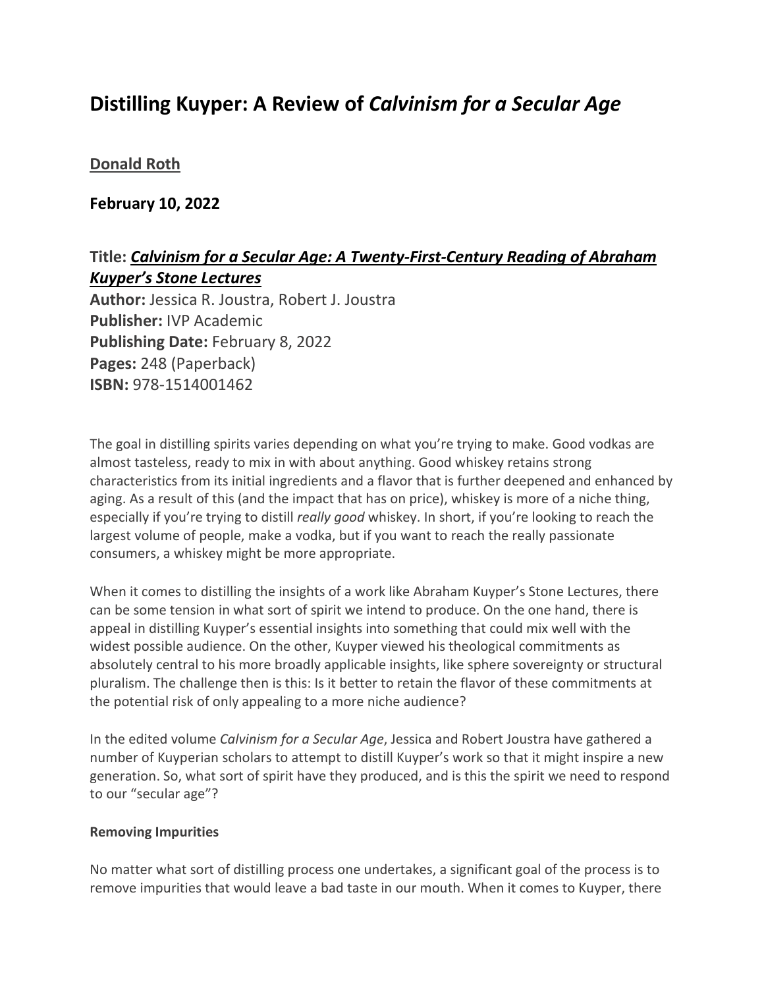# **Distilling Kuyper: A Review of** *Calvinism for a Secular Age*

## **[Donald Roth](https://inallthings.org/author/donald-roth/)**

## **February 10, 2022**

## **Title:** *Calvinism for a Secular Age: A Twenty-First-Century Reading of Abraham Kuyper's Stone Lectures*

**Author:** Jessica R. Joustra, Robert J. Joustra **Publisher:** IVP Academic **Publishing Date:** February 8, 2022 **Pages:** 248 (Paperback) **ISBN:** 978-1514001462

The goal in distilling spirits varies depending on what you're trying to make. Good vodkas are almost tasteless, ready to mix in with about anything. Good whiskey retains strong characteristics from its initial ingredients and a flavor that is further deepened and enhanced by aging. As a result of this (and the impact that has on price), whiskey is more of a niche thing, especially if you're trying to distill *really good* whiskey. In short, if you're looking to reach the largest volume of people, make a vodka, but if you want to reach the really passionate consumers, a whiskey might be more appropriate.

When it comes to distilling the insights of a work like Abraham Kuyper's Stone Lectures, there can be some tension in what sort of spirit we intend to produce. On the one hand, there is appeal in distilling Kuyper's essential insights into something that could mix well with the widest possible audience. On the other, Kuyper viewed his theological commitments as absolutely central to his more broadly applicable insights, like sphere sovereignty or structural pluralism. The challenge then is this: Is it better to retain the flavor of these commitments at the potential risk of only appealing to a more niche audience?

In the edited volume *Calvinism for a Secular Age*, Jessica and Robert Joustra have gathered a number of Kuyperian scholars to attempt to distill Kuyper's work so that it might inspire a new generation. So, what sort of spirit have they produced, and is this the spirit we need to respond to our "secular age"?

## **Removing Impurities**

No matter what sort of distilling process one undertakes, a significant goal of the process is to remove impurities that would leave a bad taste in our mouth. When it comes to Kuyper, there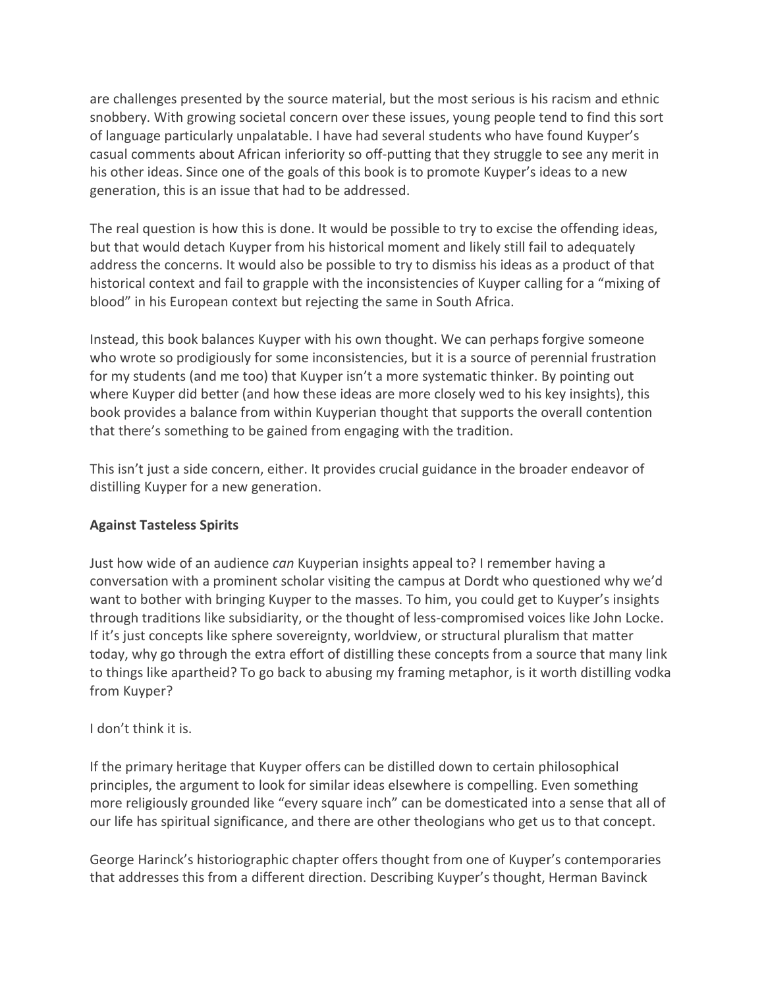are challenges presented by the source material, but the most serious is his racism and ethnic snobbery. With growing societal concern over these issues, young people tend to find this sort of language particularly unpalatable. I have had several students who have found Kuyper's casual comments about African inferiority so off-putting that they struggle to see any merit in his other ideas. Since one of the goals of this book is to promote Kuyper's ideas to a new generation, this is an issue that had to be addressed.

The real question is how this is done. It would be possible to try to excise the offending ideas, but that would detach Kuyper from his historical moment and likely still fail to adequately address the concerns. It would also be possible to try to dismiss his ideas as a product of that historical context and fail to grapple with the inconsistencies of Kuyper calling for a "mixing of blood" in his European context but rejecting the same in South Africa.

Instead, this book balances Kuyper with his own thought. We can perhaps forgive someone who wrote so prodigiously for some inconsistencies, but it is a source of perennial frustration for my students (and me too) that Kuyper isn't a more systematic thinker. By pointing out where Kuyper did better (and how these ideas are more closely wed to his key insights), this book provides a balance from within Kuyperian thought that supports the overall contention that there's something to be gained from engaging with the tradition.

This isn't just a side concern, either. It provides crucial guidance in the broader endeavor of distilling Kuyper for a new generation.

## **Against Tasteless Spirits**

Just how wide of an audience *can* Kuyperian insights appeal to? I remember having a conversation with a prominent scholar visiting the campus at Dordt who questioned why we'd want to bother with bringing Kuyper to the masses. To him, you could get to Kuyper's insights through traditions like subsidiarity, or the thought of less-compromised voices like John Locke. If it's just concepts like sphere sovereignty, worldview, or structural pluralism that matter today, why go through the extra effort of distilling these concepts from a source that many link to things like apartheid? To go back to abusing my framing metaphor, is it worth distilling vodka from Kuyper?

## I don't think it is.

If the primary heritage that Kuyper offers can be distilled down to certain philosophical principles, the argument to look for similar ideas elsewhere is compelling. Even something more religiously grounded like "every square inch" can be domesticated into a sense that all of our life has spiritual significance, and there are other theologians who get us to that concept.

George Harinck's historiographic chapter offers thought from one of Kuyper's contemporaries that addresses this from a different direction. Describing Kuyper's thought, Herman Bavinck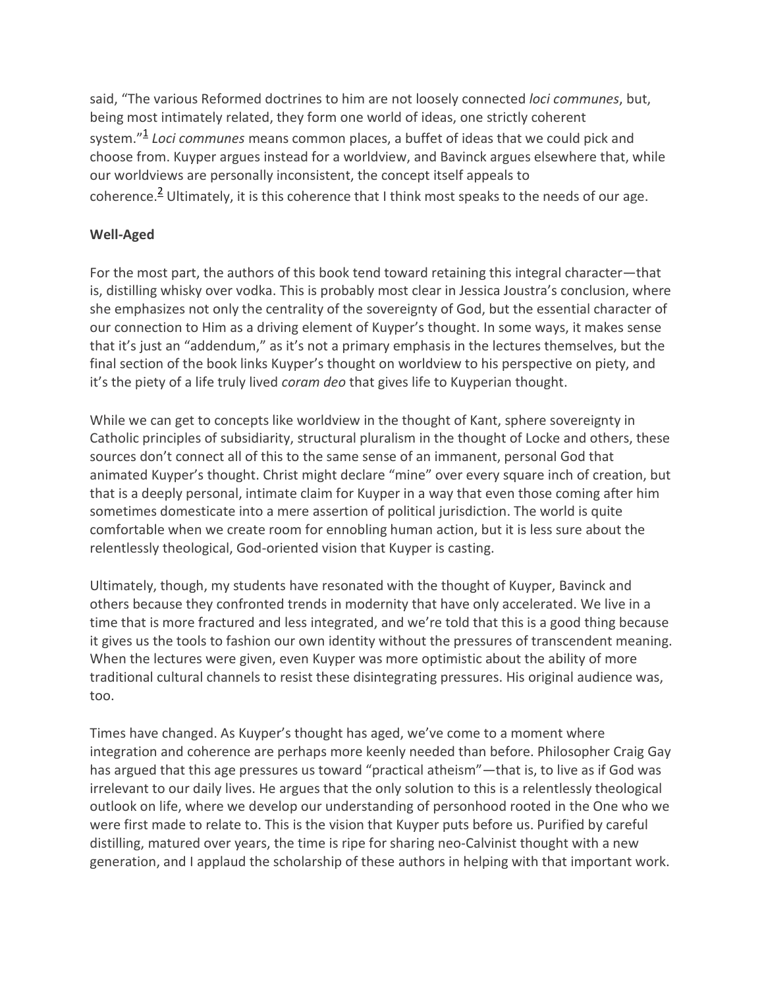said, "The various Reformed doctrines to him are not loosely connected *loci communes*, but, being most intimately related, they form one world of ideas, one strictly coherent system."<sup>1</sup> *Loci communes* means common places, a buffet of ideas that we could pick and choose from. Kuyper argues instead for a worldview, and Bavinck argues elsewhere that, while our worldviews are personally inconsistent, the concept itself appeals to coherence.<sup>2</sup> Ultimately, it is this coherence that I think most speaks to the needs of our age.

## **Well-Aged**

For the most part, the authors of this book tend toward retaining this integral character—that is, distilling whisky over vodka. This is probably most clear in Jessica Joustra's conclusion, where she emphasizes not only the centrality of the sovereignty of God, but the essential character of our connection to Him as a driving element of Kuyper's thought. In some ways, it makes sense that it's just an "addendum," as it's not a primary emphasis in the lectures themselves, but the final section of the book links Kuyper's thought on worldview to his perspective on piety, and it's the piety of a life truly lived *coram deo* that gives life to Kuyperian thought.

While we can get to concepts like worldview in the thought of Kant, sphere sovereignty in Catholic principles of subsidiarity, structural pluralism in the thought of Locke and others, these sources don't connect all of this to the same sense of an immanent, personal God that animated Kuyper's thought. Christ might declare "mine" over every square inch of creation, but that is a deeply personal, intimate claim for Kuyper in a way that even those coming after him sometimes domesticate into a mere assertion of political jurisdiction. The world is quite comfortable when we create room for ennobling human action, but it is less sure about the relentlessly theological, God-oriented vision that Kuyper is casting.

Ultimately, though, my students have resonated with the thought of Kuyper, Bavinck and others because they confronted trends in modernity that have only accelerated. We live in a time that is more fractured and less integrated, and we're told that this is a good thing because it gives us the tools to fashion our own identity without the pressures of transcendent meaning. When the lectures were given, even Kuyper was more optimistic about the ability of more traditional cultural channels to resist these disintegrating pressures. His original audience was, too.

Times have changed. As Kuyper's thought has aged, we've come to a moment where integration and coherence are perhaps more keenly needed than before. Philosopher Craig Gay has argued that this age pressures us toward "practical atheism"—that is, to live as if God was irrelevant to our daily lives. He argues that the only solution to this is a relentlessly theological outlook on life, where we develop our understanding of personhood rooted in the One who we were first made to relate to. This is the vision that Kuyper puts before us. Purified by careful distilling, matured over years, the time is ripe for sharing neo-Calvinist thought with a new generation, and I applaud the scholarship of these authors in helping with that important work.